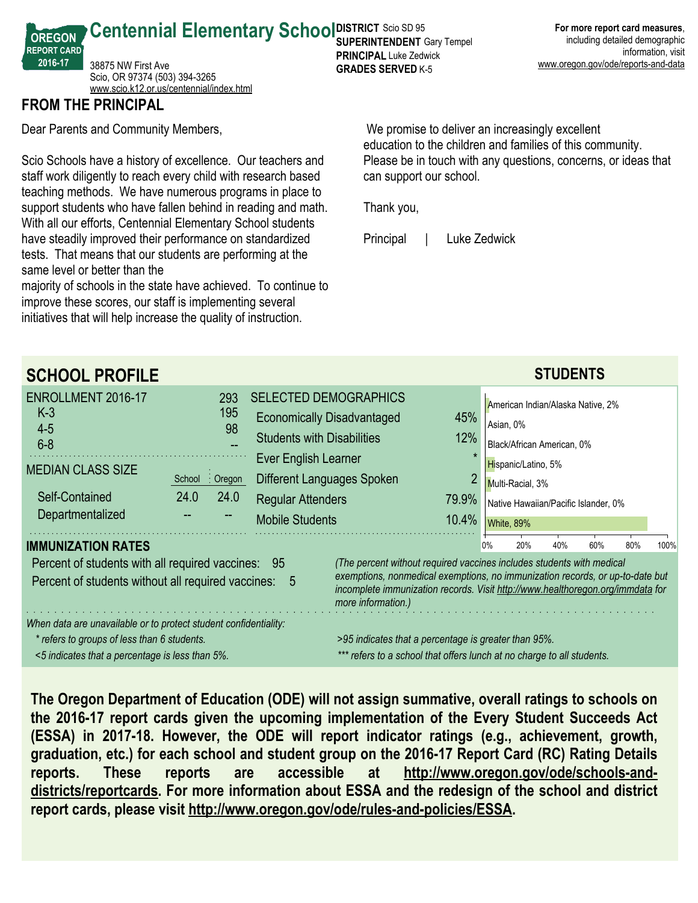**Centennial Elementary School SUPER RICT SCIO SD 95** 38875 NW First Ave Scio, OR 97374 (503) 394-3265 <www.scio.k12.or.us/centennial/index.html>

## **FROM THE PRINCIPAL**

**OREGON REPORT CARD 2016-17**

Dear Parents and Community Members,

Scio Schools have a history of excellence. Our teachers and staff work diligently to reach every child with research based teaching methods. We have numerous programs in place to support students who have fallen behind in reading and math. With all our efforts, Centennial Elementary School students have steadily improved their performance on standardized tests. That means that our students are performing at the same level or better than the

majority of schools in the state have achieved. To continue to improve these scores, our staff is implementing several initiatives that will help increase the quality of instruction.

 We promise to deliver an increasingly excellent education to the children and families of this community. Please be in touch with any questions, concerns, or ideas that can support our school.

Thank you,

**SUPERINTENDENT** Gary Tempel **PRINCIPAL** Luke Zedwick **GRADES SERVED** K-5

Principal | Luke Zedwick

| <b>SCHOOL PROFILE</b>                                                                                                                                              |                                                                                                                                |                                                                                                                                                                                          |                                                                                                                                                                                                                                                                |                     |                                                                                                                                                                 |                                                      | <b>STUDENTS</b> |  |  |  |
|--------------------------------------------------------------------------------------------------------------------------------------------------------------------|--------------------------------------------------------------------------------------------------------------------------------|------------------------------------------------------------------------------------------------------------------------------------------------------------------------------------------|----------------------------------------------------------------------------------------------------------------------------------------------------------------------------------------------------------------------------------------------------------------|---------------------|-----------------------------------------------------------------------------------------------------------------------------------------------------------------|------------------------------------------------------|-----------------|--|--|--|
| ENROLLMENT 2016-17<br>$K-3$<br>$4 - 5$<br>$6 - 8$<br><b>MEDIAN CLASS SIZE</b><br>Self-Contained                                                                    | 293<br>195<br>98<br>School : Oregon<br>24.0<br>24.0                                                                            | <b>SELECTED DEMOGRAPHICS</b><br><b>Economically Disadvantaged</b><br><b>Students with Disabilities</b><br>Ever English Learner<br>Different Languages Spoken<br><b>Regular Attenders</b> |                                                                                                                                                                                                                                                                | 45%<br>12%<br>79.9% | American Indian/Alaska Native, 2%<br>Asian, 0%<br>Black/African American, 0%<br>Hispanic/Latino, 5%<br>Multi-Racial, 3%<br>Native Hawaiian/Pacific Islander, 0% |                                                      |                 |  |  |  |
| Departmentalized<br><b>IMMUNIZATION RATES</b>                                                                                                                      |                                                                                                                                | <b>Mobile Students</b><br>10.4%                                                                                                                                                          |                                                                                                                                                                                                                                                                |                     |                                                                                                                                                                 | White, 89%<br>20%<br>40%<br>60%<br>80%<br>0%<br>100% |                 |  |  |  |
| Percent of students with all required vaccines: 95<br>Percent of students without all required vaccines:                                                           |                                                                                                                                | - 5                                                                                                                                                                                      | (The percent without required vaccines includes students with medical<br>exemptions, nonmedical exemptions, no immunization records, or up-to-date but<br>incomplete immunization records. Visit http://www.healthoregon.org/immdata for<br>more information.) |                     |                                                                                                                                                                 |                                                      |                 |  |  |  |
| When data are unavailable or to protect student confidentiality:<br>* refers to groups of less than 6 students.<br><5 indicates that a percentage is less than 5%. | >95 indicates that a percentage is greater than 95%.<br>*** refers to a school that offers lunch at no charge to all students. |                                                                                                                                                                                          |                                                                                                                                                                                                                                                                |                     |                                                                                                                                                                 |                                                      |                 |  |  |  |

**The Oregon Department of Education (ODE) will not assign summative, overall ratings to schools on the 2016-17 report cards given the upcoming implementation of the Every Student Succeeds Act (ESSA) in 2017-18. However, the ODE will report indicator ratings (e.g., achievement, growth, graduation, etc.) for each school and student group on the 2016-17 Report Card (RC) Rating Details reports. These reports are accessible at http://www.oregon.gov/ode/schools-anddistricts/reportcards. For more information about ESSA and the redesign of the school and district report cards, please visit http://www.oregon.gov/ode/rules-and-policies/ESSA.**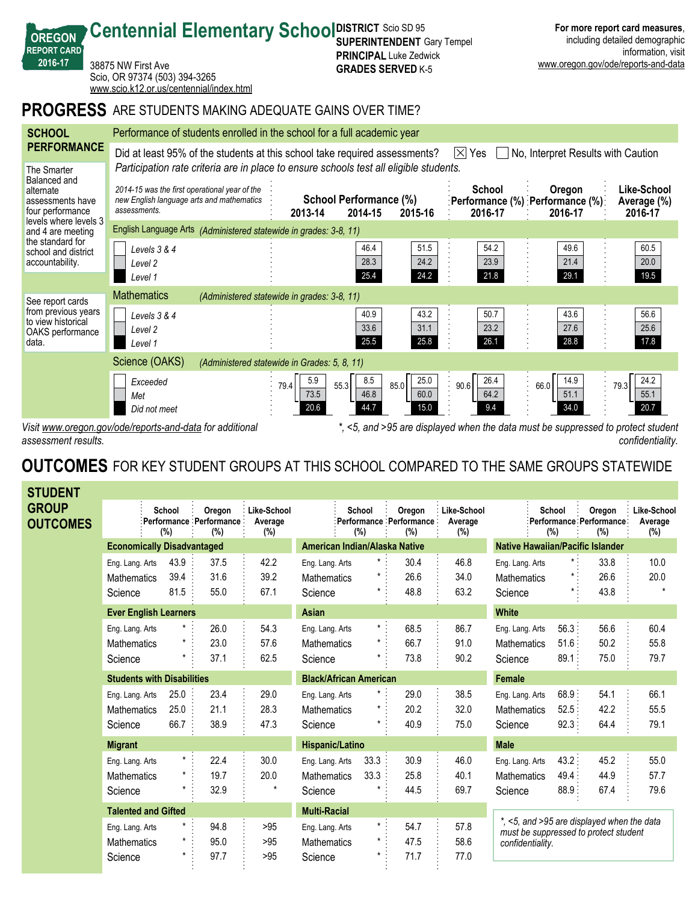| <b>PROGRESS</b> ARE STUDENTS MAKING ADEQUATE GAINS OVER TIME?<br><b>SCHOOL</b><br>Performance of students enrolled in the school for a full academic year<br><b>PERFORMANCE</b><br>Did at least 95% of the students at this school take required assessments?<br>$ \times $<br>Yes<br>No, Interpret Results with Caution<br>Participation rate criteria are in place to ensure schools test all eligible students.<br>The Smarter<br>Balanced and<br>Like-School<br>School<br>2014-15 was the first operational year of the<br>Oregon<br>alternate<br>School Performance (%)<br>new English language arts and mathematics<br>:Performance (%) :Performance (%):<br>assessments have<br>Average (%)<br>assessments.<br>four performance<br>2014-15<br>2016-17<br>2013-14<br>2015-16<br>2016-17<br>2016-17<br>levels where levels 3<br>English Language Arts (Administered statewide in grades: 3-8, 11)<br>and 4 are meeting<br>the standard for<br>54.2<br>49.6<br>60.5<br>46.4<br>51.5<br>Levels 3 & 4<br>school and district<br>24.2<br>28.3<br>23.9<br>21.4<br>20.0<br>accountability.<br>Level <sub>2</sub><br>29.1<br>25.4<br>24.2<br>21.8<br>19.5<br>Level 1<br><b>Mathematics</b><br>(Administered statewide in grades: 3-8, 11)<br>See report cards<br>from previous years<br>43.2<br>50.7<br>43.6<br>40.9<br>56.6<br>Levels 3 & 4<br>to view historical<br>31.1<br>23.2<br>33.6<br>27.6<br>25.6<br>Level <sub>2</sub><br>OAKS performance<br>25.8<br>26.1<br>28.8<br>25.5<br>17.8<br>data.<br>Level 1<br>Science (OAKS)<br>(Administered statewide in Grades: 5, 8, 11)<br>26.4<br>24.2<br>8.5<br>25.0<br>14.9<br>5.9<br>Exceeded<br>55.3<br>85.0<br>79.4<br>90.6<br>66.0<br>79.3<br>46.8<br>64.2<br>55.1<br>73.5<br>60.0<br>51.1<br>Met<br>20.6<br>9.4<br>34.0<br>20.7<br>44.7<br>15.0<br>Did not meet<br>Vicit www.arogan.gov/odo/raparte_and_data_for_additional<br>$\leq 5$ and $>0.5$ are displayed when the data must be suppressed to protect students | 2016-17 | 38875 NW First Ave<br>Scio, OR 97374 (503) 394-3265<br>www.scio.k12.or.us/centennial/index.html |  |  | <b>FRINGIFAL</b> LUNG LOUWILN<br><b>GRADES SERVED K-5</b> |  |  |  | www.oregon.gov/ode/reports-and-data |  |  |  |
|------------------------------------------------------------------------------------------------------------------------------------------------------------------------------------------------------------------------------------------------------------------------------------------------------------------------------------------------------------------------------------------------------------------------------------------------------------------------------------------------------------------------------------------------------------------------------------------------------------------------------------------------------------------------------------------------------------------------------------------------------------------------------------------------------------------------------------------------------------------------------------------------------------------------------------------------------------------------------------------------------------------------------------------------------------------------------------------------------------------------------------------------------------------------------------------------------------------------------------------------------------------------------------------------------------------------------------------------------------------------------------------------------------------------------------------------------------------------------------------------------------------------------------------------------------------------------------------------------------------------------------------------------------------------------------------------------------------------------------------------------------------------------------------------------------------------------------------------------------------------------------------------------------------------------------------------------------------------|---------|-------------------------------------------------------------------------------------------------|--|--|-----------------------------------------------------------|--|--|--|-------------------------------------|--|--|--|
|                                                                                                                                                                                                                                                                                                                                                                                                                                                                                                                                                                                                                                                                                                                                                                                                                                                                                                                                                                                                                                                                                                                                                                                                                                                                                                                                                                                                                                                                                                                                                                                                                                                                                                                                                                                                                                                                                                                                                                        |         |                                                                                                 |  |  |                                                           |  |  |  |                                     |  |  |  |
|                                                                                                                                                                                                                                                                                                                                                                                                                                                                                                                                                                                                                                                                                                                                                                                                                                                                                                                                                                                                                                                                                                                                                                                                                                                                                                                                                                                                                                                                                                                                                                                                                                                                                                                                                                                                                                                                                                                                                                        |         |                                                                                                 |  |  |                                                           |  |  |  |                                     |  |  |  |
|                                                                                                                                                                                                                                                                                                                                                                                                                                                                                                                                                                                                                                                                                                                                                                                                                                                                                                                                                                                                                                                                                                                                                                                                                                                                                                                                                                                                                                                                                                                                                                                                                                                                                                                                                                                                                                                                                                                                                                        |         |                                                                                                 |  |  |                                                           |  |  |  |                                     |  |  |  |
|                                                                                                                                                                                                                                                                                                                                                                                                                                                                                                                                                                                                                                                                                                                                                                                                                                                                                                                                                                                                                                                                                                                                                                                                                                                                                                                                                                                                                                                                                                                                                                                                                                                                                                                                                                                                                                                                                                                                                                        |         |                                                                                                 |  |  |                                                           |  |  |  |                                     |  |  |  |
|                                                                                                                                                                                                                                                                                                                                                                                                                                                                                                                                                                                                                                                                                                                                                                                                                                                                                                                                                                                                                                                                                                                                                                                                                                                                                                                                                                                                                                                                                                                                                                                                                                                                                                                                                                                                                                                                                                                                                                        |         |                                                                                                 |  |  |                                                           |  |  |  |                                     |  |  |  |
|                                                                                                                                                                                                                                                                                                                                                                                                                                                                                                                                                                                                                                                                                                                                                                                                                                                                                                                                                                                                                                                                                                                                                                                                                                                                                                                                                                                                                                                                                                                                                                                                                                                                                                                                                                                                                                                                                                                                                                        |         |                                                                                                 |  |  |                                                           |  |  |  |                                     |  |  |  |
|                                                                                                                                                                                                                                                                                                                                                                                                                                                                                                                                                                                                                                                                                                                                                                                                                                                                                                                                                                                                                                                                                                                                                                                                                                                                                                                                                                                                                                                                                                                                                                                                                                                                                                                                                                                                                                                                                                                                                                        |         |                                                                                                 |  |  |                                                           |  |  |  |                                     |  |  |  |
|                                                                                                                                                                                                                                                                                                                                                                                                                                                                                                                                                                                                                                                                                                                                                                                                                                                                                                                                                                                                                                                                                                                                                                                                                                                                                                                                                                                                                                                                                                                                                                                                                                                                                                                                                                                                                                                                                                                                                                        |         |                                                                                                 |  |  |                                                           |  |  |  |                                     |  |  |  |
|                                                                                                                                                                                                                                                                                                                                                                                                                                                                                                                                                                                                                                                                                                                                                                                                                                                                                                                                                                                                                                                                                                                                                                                                                                                                                                                                                                                                                                                                                                                                                                                                                                                                                                                                                                                                                                                                                                                                                                        |         |                                                                                                 |  |  |                                                           |  |  |  |                                     |  |  |  |
|                                                                                                                                                                                                                                                                                                                                                                                                                                                                                                                                                                                                                                                                                                                                                                                                                                                                                                                                                                                                                                                                                                                                                                                                                                                                                                                                                                                                                                                                                                                                                                                                                                                                                                                                                                                                                                                                                                                                                                        |         |                                                                                                 |  |  | $^{\star}$                                                |  |  |  |                                     |  |  |  |

**SUPERINTENDENT** Gary Tempel **PRINCIPAL** Luke Zedwick

**Centennial Elementary School SUPER RICT SCIO SD 95** 

*Visit www.oregon.gov/ode/reports-and-data for additional assessment results.*

**OREGON REPORT CARD 2016-17**

> *\*, <5, and >95 are displayed when the data must be suppressed to protect student confidentiality.*

**For more report card measures**, including detailed demographic

information, visit

# **OUTCOMES** FOR KEY STUDENT GROUPS AT THIS SCHOOL COMPARED TO THE SAME GROUPS STATEWIDE

| <b>STUDENT</b>                  |                                                  |                                   |                                                        |                               |                                                  |                           |                                          |                               |                                                                                                         |                           |                                          |                               |
|---------------------------------|--------------------------------------------------|-----------------------------------|--------------------------------------------------------|-------------------------------|--------------------------------------------------|---------------------------|------------------------------------------|-------------------------------|---------------------------------------------------------------------------------------------------------|---------------------------|------------------------------------------|-------------------------------|
| <b>GROUP</b><br><b>OUTCOMES</b> |                                                  | School<br>(%)                     | Oregon<br>: Performance : Performance :<br>(%)         | Like-School<br>Average<br>(%) |                                                  | School<br>(%)             | Oregon<br>Performance Performance<br>(%) | Like-School<br>Average<br>(%) |                                                                                                         | School<br>(%)             | Oregon<br>Performance Performance<br>(%) | Like-School<br>Average<br>(%) |
|                                 |                                                  |                                   | <b>Economically Disadvantaged</b>                      |                               | American Indian/Alaska Native                    |                           |                                          |                               | <b>Native Hawaiian/Pacific Islander</b>                                                                 |                           |                                          |                               |
|                                 | Eng. Lang. Arts<br><b>Mathematics</b><br>Science | 43.9<br>39.4<br>81.5              | 37.5<br>31.6<br>55.0                                   | 42.2<br>39.2<br>67.1          | Eng. Lang. Arts<br><b>Mathematics</b><br>Science | $\star$<br>*              | 30.4<br>26.6<br>48.8                     | 46.8<br>34.0<br>63.2          | Eng. Lang. Arts<br><b>Mathematics</b><br>Science                                                        |                           | 33.8<br>26.6<br>43.8                     | 10.0<br>20.0                  |
|                                 |                                                  | <b>Ever English Learners</b>      |                                                        |                               | Asian                                            |                           |                                          |                               | <b>White</b>                                                                                            |                           |                                          |                               |
|                                 | Eng. Lang. Arts<br>Mathematics<br>Science        |                                   | 26.0<br>23.0<br>37.1                                   | 54.3<br>57.6<br>62.5          | Eng. Lang. Arts<br><b>Mathematics</b><br>Science | $\star$ .<br>$^\star$     | 68.5<br>66.7<br>73.8                     | 86.7<br>91.0<br>90.2          | Eng. Lang. Arts<br><b>Mathematics</b><br>Science                                                        | 56.3:<br>51.6<br>$89.1$ : | 56.6<br>50.2<br>75.0                     | 60.4<br>55.8<br>79.7          |
|                                 |                                                  | <b>Students with Disabilities</b> |                                                        |                               | <b>Black/African American</b>                    |                           |                                          |                               | <b>Female</b>                                                                                           |                           |                                          |                               |
|                                 | Eng. Lang. Arts<br><b>Mathematics</b><br>Science | 25.0<br>25.0<br>66.7              | 23.4<br>21.1<br>38.9                                   | 29.0<br>28.3<br>47.3          | Eng. Lang. Arts<br>Mathematics<br>Science        | $^\star$<br>*<br>*        | 29.0<br>20.2<br>40.9                     | 38.5<br>32.0<br>75.0          | Eng. Lang. Arts<br><b>Mathematics</b><br>Science                                                        | 68.9:<br>52.5<br>92.3     | 54.1<br>42.2<br>64.4                     | 66.1<br>55.5<br>79.1          |
|                                 | <b>Migrant</b>                                   |                                   |                                                        |                               | <b>Hispanic/Latino</b>                           |                           |                                          |                               | <b>Male</b>                                                                                             |                           |                                          |                               |
|                                 | Eng. Lang. Arts<br><b>Mathematics</b><br>Science |                                   | $\star$<br>22.4<br>$\star$<br>19.7<br>32.9             | 30.0<br>20.0<br>$\star$       | Eng. Lang. Arts<br><b>Mathematics</b><br>Science | 33.3<br>33.3              | 30.9<br>25.8<br>44.5                     | 46.0<br>40.1<br>69.7          | Eng. Lang. Arts<br><b>Mathematics</b><br>Science                                                        | 43.2:<br>49.4:<br>88.9    | 45.2<br>44.9<br>67.4                     | 55.0<br>57.7<br>79.6          |
|                                 |                                                  | <b>Talented and Gifted</b>        |                                                        |                               | <b>Multi-Racial</b>                              |                           |                                          |                               |                                                                                                         |                           |                                          |                               |
|                                 | Eng. Lang. Arts<br><b>Mathematics</b><br>Science |                                   | $\star$<br>94.8<br>$\star$<br>95.0<br>$^\star$<br>97.7 | >95<br>>95<br>>95             | Eng. Lang. Arts<br><b>Mathematics</b><br>Science | $\star$ :<br>$\star$<br>* | 54.7<br>47.5<br>71.7                     | 57.8<br>58.6<br>77.0          | *, <5, and >95 are displayed when the data<br>must be suppressed to protect student<br>confidentiality. |                           |                                          |                               |